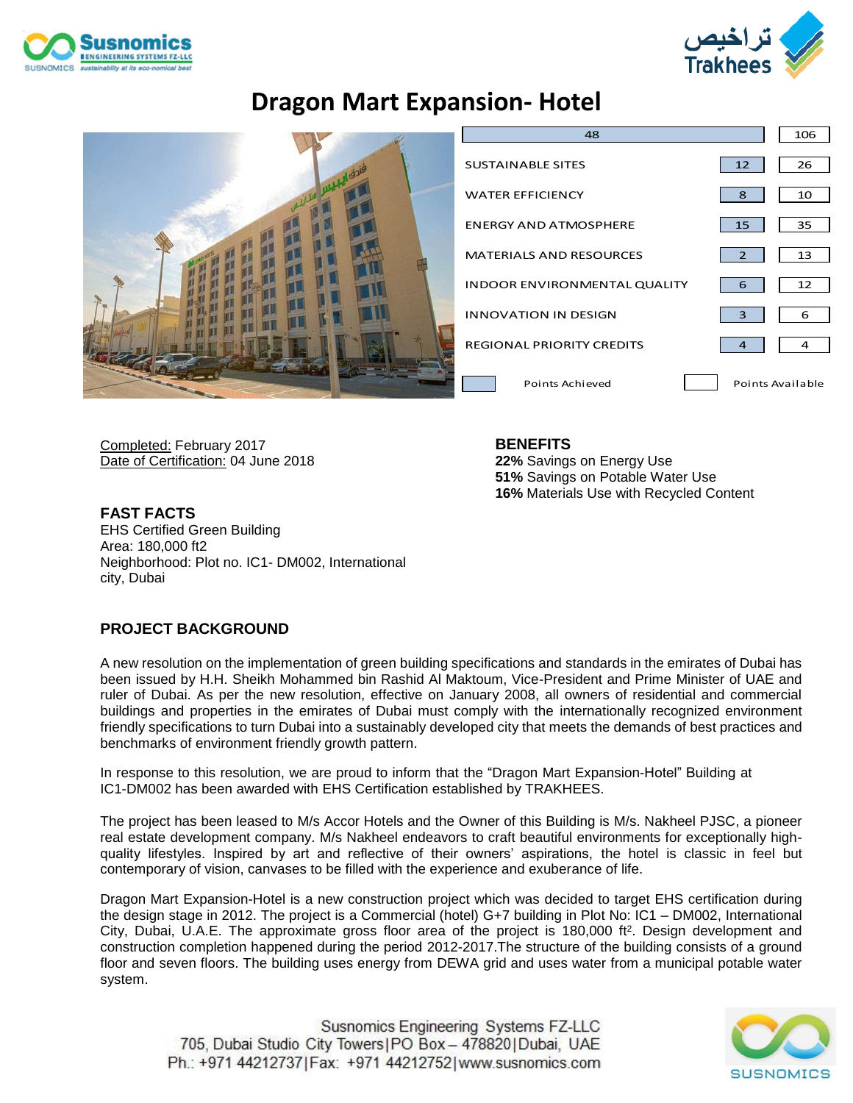



### **Dragon Mart Expansion- Hotel**



| 48                                  |                  | 106 |
|-------------------------------------|------------------|-----|
| <b>SUSTAINABLE SITES</b>            | 12               | 26  |
| <b>WATER EFFICIENCY</b>             | 8                | 10  |
| <b>ENERGY AND ATMOSPHERE</b>        | 15               | 35  |
| <b>MATERIALS AND RESOURCES</b>      | 2                | 13  |
| <b>INDOOR ENVIRONMENTAL QUALITY</b> | 6                | 12  |
| <b>INNOVATION IN DESIGN</b>         | 3                | 6   |
| <b>REGIONAL PRIORITY CREDITS</b>    | 4                | 4   |
| Points Achieved                     | Points Available |     |

Completed: February 2017 Date of Certification: 04 June 2018 **BENEFITS**

**22%** Savings on Energy Use **51%** Savings on Potable Water Use **16%** Materials Use with Recycled Content

**FAST FACTS** EHS Certified Green Building Area: 180,000 ft2 Neighborhood: Plot no. IC1- DM002, International city, Dubai

### **PROJECT BACKGROUND**

A new resolution on the implementation of green building specifications and standards in the emirates of Dubai has been issued by H.H. Sheikh Mohammed bin Rashid Al Maktoum, Vice-President and Prime Minister of UAE and ruler of Dubai. As per the new resolution, effective on January 2008, all owners of residential and commercial buildings and properties in the emirates of Dubai must comply with the internationally recognized environment friendly specifications to turn Dubai into a sustainably developed city that meets the demands of best practices and benchmarks of environment friendly growth pattern.

In response to this resolution, we are proud to inform that the "Dragon Mart Expansion-Hotel" Building at IC1-DM002 has been awarded with EHS Certification established by TRAKHEES.

The project has been leased to M/s Accor Hotels and the Owner of this Building is M/s. Nakheel PJSC, a pioneer real estate development company. M/s Nakheel endeavors to craft beautiful environments for exceptionally highquality lifestyles. Inspired by art and reflective of their owners' aspirations, the hotel is classic in feel but contemporary of vision, canvases to be filled with the experience and exuberance of life.

Dragon Mart Expansion-Hotel is a new construction project which was decided to target EHS certification during the design stage in 2012. The project is a Commercial (hotel) G+7 building in Plot No: IC1 – DM002, International City, Dubai, U.A.E. The approximate gross floor area of the project is 180,000 ft<sup>2</sup>. Design development and construction completion happened during the period 2012-2017.The structure of the building consists of a ground floor and seven floors. The building uses energy from DEWA grid and uses water from a municipal potable water system.

Susnomics Engineering Systems FZ-LLC 705, Dubai Studio City Towers | PO Box - 478820 | Dubai, UAE Ph.: +971 44212737 | Fax: +971 44212752 | www.susnomics.com

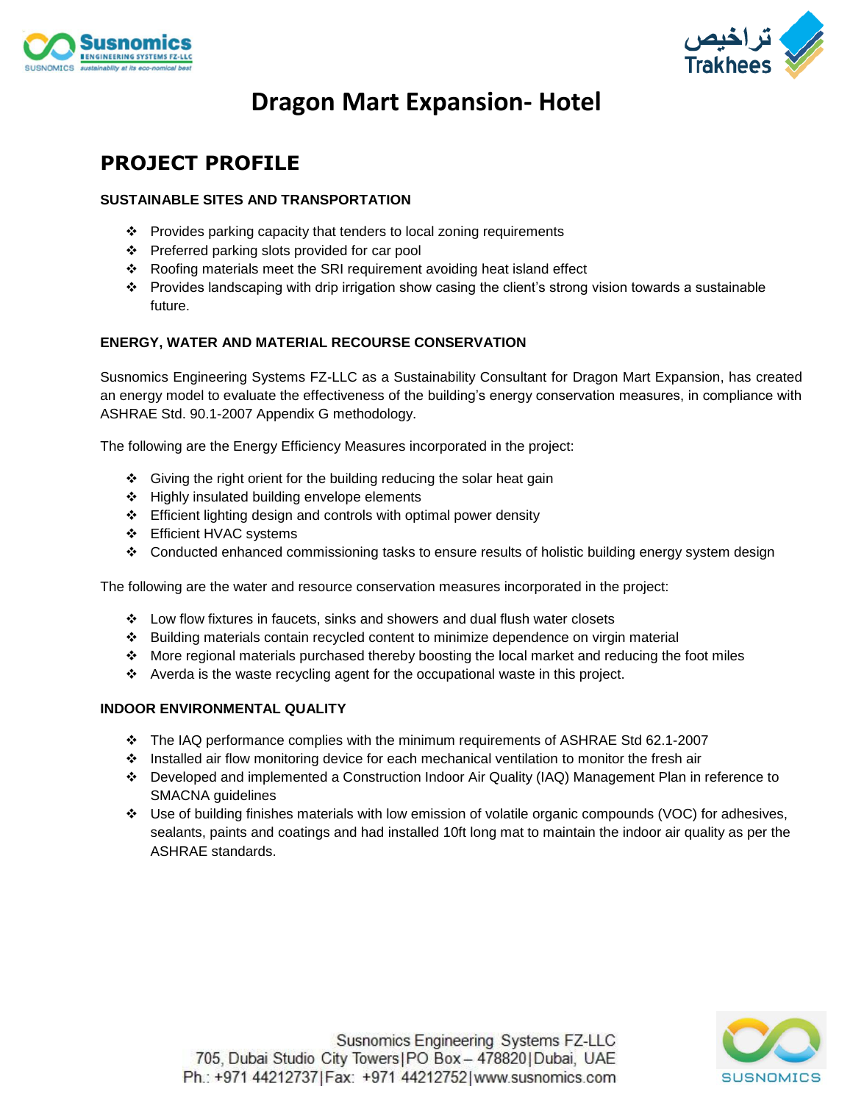



## **Dragon Mart Expansion- Hotel**

### **PROJECT PROFILE**

#### **SUSTAINABLE SITES AND TRANSPORTATION**

- ❖ Provides parking capacity that tenders to local zoning requirements
- ❖ Preferred parking slots provided for car pool
- ❖ Roofing materials meet the SRI requirement avoiding heat island effect
- ❖ Provides landscaping with drip irrigation show casing the client's strong vision towards a sustainable future.

#### **ENERGY, WATER AND MATERIAL RECOURSE CONSERVATION**

Susnomics Engineering Systems FZ-LLC as a Sustainability Consultant for Dragon Mart Expansion, has created an energy model to evaluate the effectiveness of the building's energy conservation measures, in compliance with ASHRAE Std. 90.1-2007 Appendix G methodology.

The following are the Energy Efficiency Measures incorporated in the project:

- ❖ Giving the right orient for the building reducing the solar heat gain
- ❖ Highly insulated building envelope elements
- ❖ Efficient lighting design and controls with optimal power density
- ❖ Efficient HVAC systems
- ❖ Conducted enhanced commissioning tasks to ensure results of holistic building energy system design

The following are the water and resource conservation measures incorporated in the project:

- ❖ Low flow fixtures in faucets, sinks and showers and dual flush water closets
- ❖ Building materials contain recycled content to minimize dependence on virgin material
- ❖ More regional materials purchased thereby boosting the local market and reducing the foot miles
- ❖ Averda is the waste recycling agent for the occupational waste in this project.

#### **INDOOR ENVIRONMENTAL QUALITY**

- ❖ The IAQ performance complies with the minimum requirements of ASHRAE Std 62.1-2007
- ❖ Installed air flow monitoring device for each mechanical ventilation to monitor the fresh air
- ❖ Developed and implemented a Construction Indoor Air Quality (IAQ) Management Plan in reference to SMACNA guidelines
- ❖ Use of building finishes materials with low emission of volatile organic compounds (VOC) for adhesives, sealants, paints and coatings and had installed 10ft long mat to maintain the indoor air quality as per the ASHRAE standards.